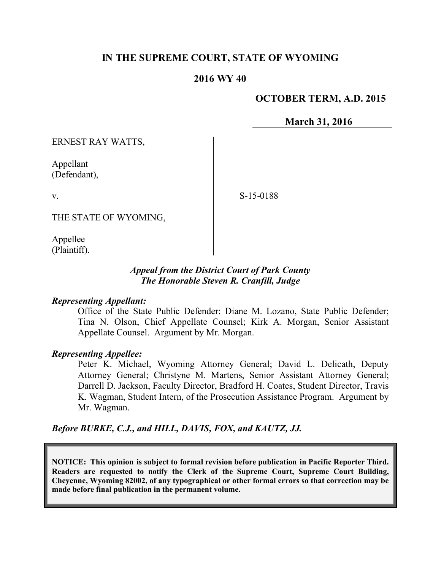# **IN THE SUPREME COURT, STATE OF WYOMING**

## **2016 WY 40**

# **OCTOBER TERM, A.D. 2015**

**March 31, 2016**

ERNEST RAY WATTS,

Appellant (Defendant),

S-15-0188

THE STATE OF WYOMING,

Appellee (Plaintiff).

v.

### *Appeal from the District Court of Park County The Honorable Steven R. Cranfill, Judge*

#### *Representing Appellant:*

Office of the State Public Defender: Diane M. Lozano, State Public Defender; Tina N. Olson, Chief Appellate Counsel; Kirk A. Morgan, Senior Assistant Appellate Counsel. Argument by Mr. Morgan.

#### *Representing Appellee:*

Peter K. Michael, Wyoming Attorney General; David L. Delicath, Deputy Attorney General; Christyne M. Martens, Senior Assistant Attorney General; Darrell D. Jackson, Faculty Director, Bradford H. Coates, Student Director, Travis K. Wagman, Student Intern, of the Prosecution Assistance Program. Argument by Mr. Wagman.

*Before BURKE, C.J., and HILL, DAVIS, FOX, and KAUTZ, JJ.*

**NOTICE: This opinion is subject to formal revision before publication in Pacific Reporter Third. Readers are requested to notify the Clerk of the Supreme Court, Supreme Court Building, Cheyenne, Wyoming 82002, of any typographical or other formal errors so that correction may be made before final publication in the permanent volume.**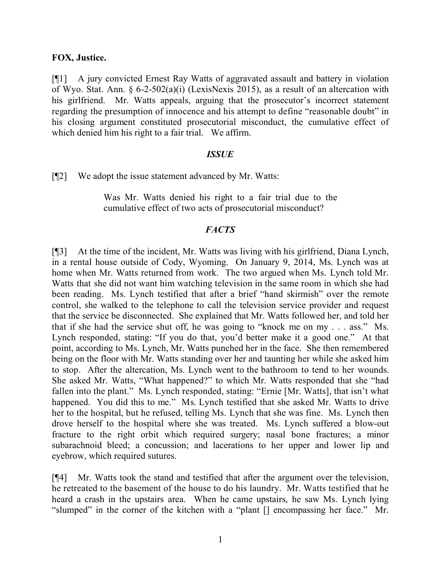### **FOX, Justice.**

[¶1] A jury convicted Ernest Ray Watts of aggravated assault and battery in violation of Wyo. Stat. Ann. § 6-2-502(a)(i) (LexisNexis 2015), as a result of an altercation with his girlfriend. Mr. Watts appeals, arguing that the prosecutor's incorrect statement regarding the presumption of innocence and his attempt to define "reasonable doubt" in his closing argument constituted prosecutorial misconduct, the cumulative effect of which denied him his right to a fair trial. We affirm.

#### *ISSUE*

[¶2] We adopt the issue statement advanced by Mr. Watts:

Was Mr. Watts denied his right to a fair trial due to the cumulative effect of two acts of prosecutorial misconduct?

### *FACTS*

[¶3] At the time of the incident, Mr. Watts was living with his girlfriend, Diana Lynch, in a rental house outside of Cody, Wyoming. On January 9, 2014, Ms. Lynch was at home when Mr. Watts returned from work. The two argued when Ms. Lynch told Mr. Watts that she did not want him watching television in the same room in which she had been reading. Ms. Lynch testified that after a brief "hand skirmish" over the remote control, she walked to the telephone to call the television service provider and request that the service be disconnected. She explained that Mr. Watts followed her, and told her that if she had the service shut off, he was going to "knock me on my . . . ass." Ms. Lynch responded, stating: "If you do that, you'd better make it a good one." At that point, according to Ms. Lynch, Mr. Watts punched her in the face. She then remembered being on the floor with Mr. Watts standing over her and taunting her while she asked him to stop. After the altercation, Ms. Lynch went to the bathroom to tend to her wounds. She asked Mr. Watts, "What happened?" to which Mr. Watts responded that she "had fallen into the plant." Ms. Lynch responded, stating: "Ernie [Mr. Watts], that isn't what happened. You did this to me." Ms. Lynch testified that she asked Mr. Watts to drive her to the hospital, but he refused, telling Ms. Lynch that she was fine. Ms. Lynch then drove herself to the hospital where she was treated. Ms. Lynch suffered a blow-out fracture to the right orbit which required surgery; nasal bone fractures; a minor subarachnoid bleed; a concussion; and lacerations to her upper and lower lip and eyebrow, which required sutures.

[¶4] Mr. Watts took the stand and testified that after the argument over the television, he retreated to the basement of the house to do his laundry. Mr. Watts testified that he heard a crash in the upstairs area. When he came upstairs, he saw Ms. Lynch lying "slumped" in the corner of the kitchen with a "plant [] encompassing her face." Mr.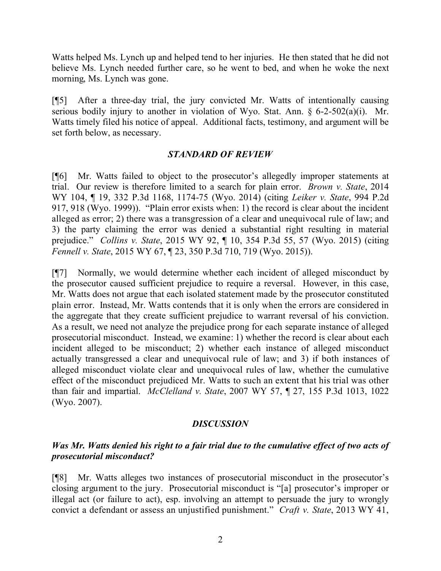Watts helped Ms. Lynch up and helped tend to her injuries. He then stated that he did not believe Ms. Lynch needed further care, so he went to bed, and when he woke the next morning, Ms. Lynch was gone.

[¶5] After a three-day trial, the jury convicted Mr. Watts of intentionally causing serious bodily injury to another in violation of Wyo. Stat. Ann. § 6-2-502(a)(i). Mr. Watts timely filed his notice of appeal. Additional facts, testimony, and argument will be set forth below, as necessary.

## *STANDARD OF REVIEW*

[¶6] Mr. Watts failed to object to the prosecutor's allegedly improper statements at trial. Our review is therefore limited to a search for plain error. *Brown v. State*, 2014 WY 104, ¶ 19, 332 P.3d 1168, 1174-75 (Wyo. 2014) (citing *Leiker v. State*, 994 P.2d 917, 918 (Wyo. 1999)). "Plain error exists when: 1) the record is clear about the incident alleged as error; 2) there was a transgression of a clear and unequivocal rule of law; and 3) the party claiming the error was denied a substantial right resulting in material prejudice." *Collins v. State*, 2015 WY 92, ¶ 10, 354 P.3d 55, 57 (Wyo. 2015) (citing *Fennell v. State*, 2015 WY 67, ¶ 23, 350 P.3d 710, 719 (Wyo. 2015)).

[¶7] Normally, we would determine whether each incident of alleged misconduct by the prosecutor caused sufficient prejudice to require a reversal. However, in this case, Mr. Watts does not argue that each isolated statement made by the prosecutor constituted plain error. Instead, Mr. Watts contends that it is only when the errors are considered in the aggregate that they create sufficient prejudice to warrant reversal of his conviction. As a result, we need not analyze the prejudice prong for each separate instance of alleged prosecutorial misconduct. Instead, we examine: 1) whether the record is clear about each incident alleged to be misconduct; 2) whether each instance of alleged misconduct actually transgressed a clear and unequivocal rule of law; and 3) if both instances of alleged misconduct violate clear and unequivocal rules of law, whether the cumulative effect of the misconduct prejudiced Mr. Watts to such an extent that his trial was other than fair and impartial. *McClelland v. State*, 2007 WY 57, ¶ 27, 155 P.3d 1013, 1022 (Wyo. 2007).

# *DISCUSSION*

# *Was Mr. Watts denied his right to a fair trial due to the cumulative effect of two acts of prosecutorial misconduct?*

[¶8] Mr. Watts alleges two instances of prosecutorial misconduct in the prosecutor's closing argument to the jury. Prosecutorial misconduct is "[a] prosecutor's improper or illegal act (or failure to act), esp. involving an attempt to persuade the jury to wrongly convict a defendant or assess an unjustified punishment." *Craft v. State*, 2013 WY 41,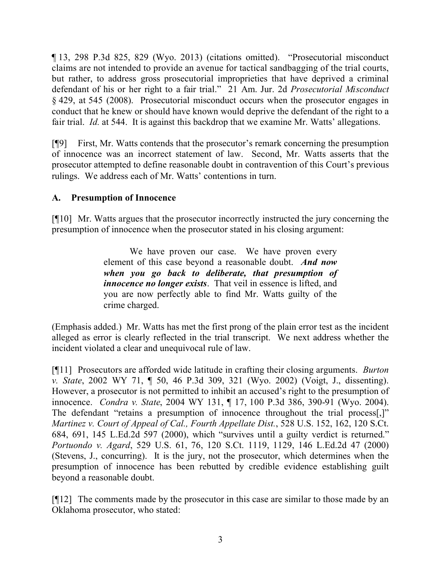¶ 13, 298 P.3d 825, 829 (Wyo. 2013) (citations omitted). "Prosecutorial misconduct claims are not intended to provide an avenue for tactical sandbagging of the trial courts, but rather, to address gross prosecutorial improprieties that have deprived a criminal defendant of his or her right to a fair trial." 21 Am. Jur. 2d *Prosecutorial Misconduct* § 429, at 545 (2008). Prosecutorial misconduct occurs when the prosecutor engages in conduct that he knew or should have known would deprive the defendant of the right to a fair trial. *Id.* at 544. It is against this backdrop that we examine Mr. Watts' allegations.

[¶9] First, Mr. Watts contends that the prosecutor's remark concerning the presumption of innocence was an incorrect statement of law. Second, Mr. Watts asserts that the prosecutor attempted to define reasonable doubt in contravention of this Court's previous rulings. We address each of Mr. Watts' contentions in turn.

# **A. Presumption of Innocence**

[¶10] Mr. Watts argues that the prosecutor incorrectly instructed the jury concerning the presumption of innocence when the prosecutor stated in his closing argument:

> We have proven our case. We have proven every element of this case beyond a reasonable doubt. *And now when you go back to deliberate, that presumption of innocence no longer exists*. That veil in essence is lifted, and you are now perfectly able to find Mr. Watts guilty of the crime charged.

(Emphasis added.) Mr. Watts has met the first prong of the plain error test as the incident alleged as error is clearly reflected in the trial transcript. We next address whether the incident violated a clear and unequivocal rule of law.

[¶11] Prosecutors are afforded wide latitude in crafting their closing arguments. *Burton v. State*, 2002 WY 71, ¶ 50, 46 P.3d 309, 321 (Wyo. 2002) (Voigt, J., dissenting). However, a prosecutor is not permitted to inhibit an accused's right to the presumption of innocence. *Condra v. State*, 2004 WY 131, ¶ 17, 100 P.3d 386, 390-91 (Wyo. 2004). The defendant "retains a presumption of innocence throughout the trial process[,]" *Martinez v. Court of Appeal of Cal., Fourth Appellate Dist.*, 528 U.S. 152, 162, 120 S.Ct. 684, 691, 145 L.Ed.2d 597 (2000), which "survives until a guilty verdict is returned." *Portuondo v. Agard*, 529 U.S. 61, 76, 120 S.Ct. 1119, 1129, 146 L.Ed.2d 47 (2000) (Stevens, J., concurring). It is the jury, not the prosecutor, which determines when the presumption of innocence has been rebutted by credible evidence establishing guilt beyond a reasonable doubt.

[¶12] The comments made by the prosecutor in this case are similar to those made by an Oklahoma prosecutor, who stated: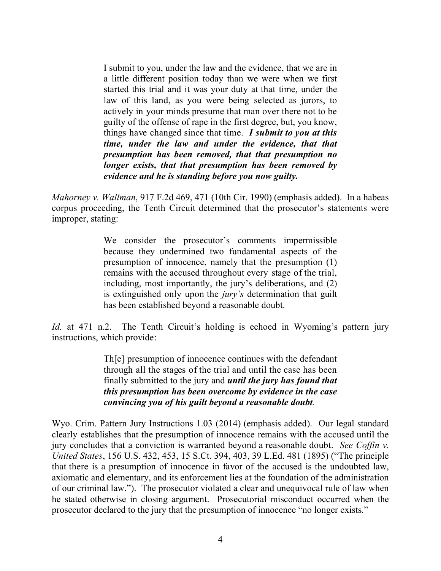I submit to you, under the law and the evidence, that we are in a little different position today than we were when we first started this trial and it was your duty at that time, under the law of this land, as you were being selected as jurors, to actively in your minds presume that man over there not to be guilty of the offense of rape in the first degree, but, you know, things have changed since that time. *I submit to you at this time, under the law and under the evidence, that that presumption has been removed, that that presumption no longer exists, that that presumption has been removed by evidence and he is standing before you now guilty.*

*Mahorney v. Wallman*, 917 F.2d 469, 471 (10th Cir. 1990) (emphasis added). In a habeas corpus proceeding, the Tenth Circuit determined that the prosecutor's statements were improper, stating:

> We consider the prosecutor's comments impermissible because they undermined two fundamental aspects of the presumption of innocence, namely that the presumption (1) remains with the accused throughout every stage of the trial, including, most importantly, the jury's deliberations, and (2) is extinguished only upon the *jury's* determination that guilt has been established beyond a reasonable doubt.

*Id.* at 471 n.2. The Tenth Circuit's holding is echoed in Wyoming's pattern jury instructions, which provide:

> Th[e] presumption of innocence continues with the defendant through all the stages of the trial and until the case has been finally submitted to the jury and *until the jury has found that this presumption has been overcome by evidence in the case convincing you of his guilt beyond a reasonable doubt.*

Wyo. Crim. Pattern Jury Instructions 1.03 (2014) (emphasis added). Our legal standard clearly establishes that the presumption of innocence remains with the accused until the jury concludes that a conviction is warranted beyond a reasonable doubt. *See Coffin v. United States*, 156 U.S. 432, 453, 15 S.Ct. 394, 403, 39 L.Ed. 481 (1895) ("The principle that there is a presumption of innocence in favor of the accused is the undoubted law, axiomatic and elementary, and its enforcement lies at the foundation of the administration of our criminal law."). The prosecutor violated a clear and unequivocal rule of law when he stated otherwise in closing argument. Prosecutorial misconduct occurred when the prosecutor declared to the jury that the presumption of innocence "no longer exists."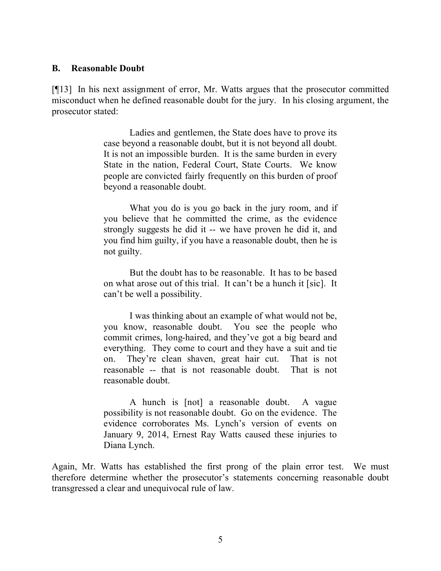### **B. Reasonable Doubt**

[¶13] In his next assignment of error, Mr. Watts argues that the prosecutor committed misconduct when he defined reasonable doubt for the jury. In his closing argument, the prosecutor stated:

> Ladies and gentlemen, the State does have to prove its case beyond a reasonable doubt, but it is not beyond all doubt. It is not an impossible burden. It is the same burden in every State in the nation, Federal Court, State Courts. We know people are convicted fairly frequently on this burden of proof beyond a reasonable doubt.

> What you do is you go back in the jury room, and if you believe that he committed the crime, as the evidence strongly suggests he did it -- we have proven he did it, and you find him guilty, if you have a reasonable doubt, then he is not guilty.

> But the doubt has to be reasonable. It has to be based on what arose out of this trial. It can't be a hunch it [sic]. It can't be well a possibility.

> I was thinking about an example of what would not be, you know, reasonable doubt. You see the people who commit crimes, long-haired, and they've got a big beard and everything. They come to court and they have a suit and tie on. They're clean shaven, great hair cut. That is not reasonable -- that is not reasonable doubt. That is not reasonable doubt.

> A hunch is [not] a reasonable doubt. A vague possibility is not reasonable doubt. Go on the evidence. The evidence corroborates Ms. Lynch's version of events on January 9, 2014, Ernest Ray Watts caused these injuries to Diana Lynch.

Again, Mr. Watts has established the first prong of the plain error test. We must therefore determine whether the prosecutor's statements concerning reasonable doubt transgressed a clear and unequivocal rule of law.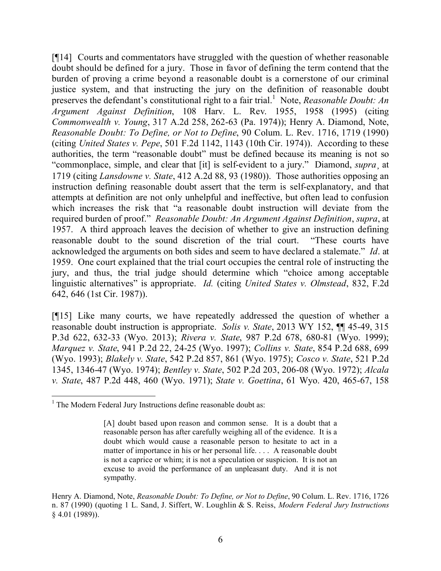[¶14] Courts and commentators have struggled with the question of whether reasonable doubt should be defined for a jury. Those in favor of defining the term contend that the burden of proving a crime beyond a reasonable doubt is a cornerstone of our criminal justice system, and that instructing the jury on the definition of reasonable doubt preserves the defendant's constitutional right to a fair trial.<sup>1</sup> Note, *Reasonable Doubt: An Argument Against Definition*, 108 Harv. L. Rev. 1955, 1958 (1995) (citing *Commonwealth v. Young*, 317 A.2d 258, 262-63 (Pa. 1974)); Henry A. Diamond, Note, *Reasonable Doubt: To Define, or Not to Define*, 90 Colum. L. Rev. 1716, 1719 (1990) (citing *United States v. Pepe*, 501 F.2d 1142, 1143 (10th Cir. 1974)). According to these authorities, the term "reasonable doubt" must be defined because its meaning is not so "commonplace, simple, and clear that [it] is self-evident to a jury." Diamond, *supra*¸ at 1719 (citing *Lansdowne v. State*, 412 A.2d 88, 93 (1980)). Those authorities opposing an instruction defining reasonable doubt assert that the term is self-explanatory, and that attempts at definition are not only unhelpful and ineffective, but often lead to confusion which increases the risk that "a reasonable doubt instruction will deviate from the required burden of proof." *Reasonable Doubt: An Argument Against Definition*, *supra*, at 1957. A third approach leaves the decision of whether to give an instruction defining reasonable doubt to the sound discretion of the trial court. "These courts have acknowledged the arguments on both sides and seem to have declared a stalemate." *Id*. at 1959. One court explained that the trial court occupies the central role of instructing the jury, and thus, the trial judge should determine which "choice among acceptable linguistic alternatives" is appropriate. *Id.* (citing *United States v. Olmstead*, 832, F.2d 642, 646 (1st Cir. 1987)).

[¶15] Like many courts, we have repeatedly addressed the question of whether a reasonable doubt instruction is appropriate. *Solis v. State*, 2013 WY 152, ¶¶ 45-49, 315 P.3d 622, 632-33 (Wyo. 2013); *Rivera v. State*, 987 P.2d 678, 680-81 (Wyo. 1999); *Marquez v. State*, 941 P.2d 22, 24-25 (Wyo. 1997); *Collins v. State*, 854 P.2d 688, 699 (Wyo. 1993); *Blakely v. State*, 542 P.2d 857, 861 (Wyo. 1975); *Cosco v. State*, 521 P.2d 1345, 1346-47 (Wyo. 1974); *Bentley v. State*, 502 P.2d 203, 206-08 (Wyo. 1972); *Alcala v. State*, 487 P.2d 448, 460 (Wyo. 1971); *State v. Goettina*, 61 Wyo. 420, 465-67, 158

  $<sup>1</sup>$  The Modern Federal Jury Instructions define reasonable doubt as:</sup>

<sup>[</sup>A] doubt based upon reason and common sense. It is a doubt that a reasonable person has after carefully weighing all of the evidence. It is a doubt which would cause a reasonable person to hesitate to act in a matter of importance in his or her personal life. . . . A reasonable doubt is not a caprice or whim; it is not a speculation or suspicion. It is not an excuse to avoid the performance of an unpleasant duty. And it is not sympathy.

Henry A. Diamond, Note, *Reasonable Doubt: To Define, or Not to Define*, 90 Colum. L. Rev. 1716, 1726 n. 87 (1990) (quoting 1 L. Sand, J. Siffert, W. Loughlin & S. Reiss, *Modern Federal Jury Instructions* § 4.01 (1989)).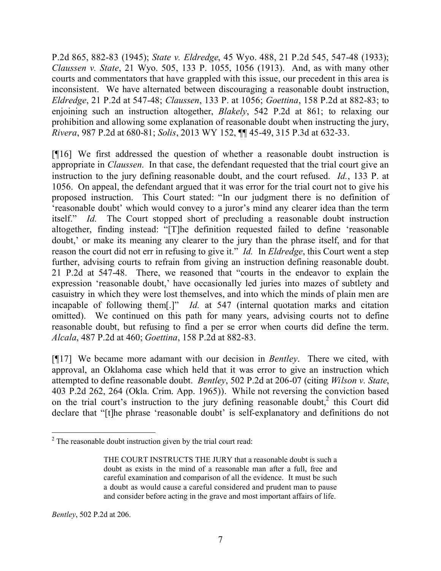P.2d 865, 882-83 (1945); *State v. Eldredge*, 45 Wyo. 488, 21 P.2d 545, 547-48 (1933); *Claussen v. State*, 21 Wyo. 505, 133 P. 1055, 1056 (1913). And, as with many other courts and commentators that have grappled with this issue, our precedent in this area is inconsistent. We have alternated between discouraging a reasonable doubt instruction, *Eldredge*, 21 P.2d at 547-48; *Claussen*, 133 P. at 1056; *Goettina*, 158 P.2d at 882-83; to enjoining such an instruction altogether, *Blakely*, 542 P.2d at 861; to relaxing our prohibition and allowing some explanation of reasonable doubt when instructing the jury, *Rivera*, 987 P.2d at 680-81; *Solis*, 2013 WY 152, ¶¶ 45-49, 315 P.3d at 632-33.

[¶16] We first addressed the question of whether a reasonable doubt instruction is appropriate in *Claussen*. In that case, the defendant requested that the trial court give an instruction to the jury defining reasonable doubt, and the court refused. *Id.*, 133 P. at 1056. On appeal, the defendant argued that it was error for the trial court not to give his proposed instruction. This Court stated: "In our judgment there is no definition of 'reasonable doubt' which would convey to a juror's mind any clearer idea than the term itself." *Id.* The Court stopped short of precluding a reasonable doubt instruction altogether, finding instead: "[T]he definition requested failed to define 'reasonable doubt,' or make its meaning any clearer to the jury than the phrase itself, and for that reason the court did not err in refusing to give it." *Id.* In *Eldredge*, this Court went a step further, advising courts to refrain from giving an instruction defining reasonable doubt. 21 P.2d at 547-48. There, we reasoned that "courts in the endeavor to explain the expression 'reasonable doubt,' have occasionally led juries into mazes of subtlety and casuistry in which they were lost themselves, and into which the minds of plain men are incapable of following them[.]" *Id.* at 547 (internal quotation marks and citation omitted). We continued on this path for many years, advising courts not to define reasonable doubt, but refusing to find a per se error when courts did define the term. *Alcala*, 487 P.2d at 460; *Goettina*, 158 P.2d at 882-83.

[¶17] We became more adamant with our decision in *Bentley*. There we cited, with approval, an Oklahoma case which held that it was error to give an instruction which attempted to define reasonable doubt. *Bentley*, 502 P.2d at 206-07 (citing *Wilson v. State*, 403 P.2d 262, 264 (Okla. Crim. App. 1965)). While not reversing the conviction based on the trial court's instruction to the jury defining reasonable doubt,<sup>2</sup> this Court did declare that "[t]he phrase 'reasonable doubt' is self-explanatory and definitions do not

 <sup>2</sup> The reasonable doubt instruction given by the trial court read:

THE COURT INSTRUCTS THE JURY that a reasonable doubt is such a doubt as exists in the mind of a reasonable man after a full, free and careful examination and comparison of all the evidence. It must be such a doubt as would cause a careful considered and prudent man to pause and consider before acting in the grave and most important affairs of life.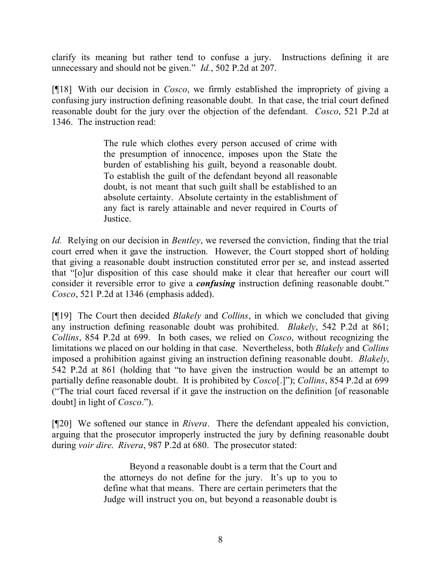clarify its meaning but rather tend to confuse a jury. Instructions defining it are unnecessary and should not be given." *Id.*, 502 P.2d at 207.

[¶18] With our decision in *Cosco*, we firmly established the impropriety of giving a confusing jury instruction defining reasonable doubt. In that case, the trial court defined reasonable doubt for the jury over the objection of the defendant. *Cosco*, 521 P.2d at 1346. The instruction read:

> The rule which clothes every person accused of crime with the presumption of innocence, imposes upon the State the burden of establishing his guilt, beyond a reasonable doubt. To establish the guilt of the defendant beyond all reasonable doubt, is not meant that such guilt shall be established to an absolute certainty. Absolute certainty in the establishment of any fact is rarely attainable and never required in Courts of Justice.

*Id.* Relying on our decision in *Bentley*, we reversed the conviction, finding that the trial court erred when it gave the instruction. However, the Court stopped short of holding that giving a reasonable doubt instruction constituted error per se, and instead asserted that "[o]ur disposition of this case should make it clear that hereafter our court will consider it reversible error to give a *confusing* instruction defining reasonable doubt." *Cosco*, 521 P.2d at 1346 (emphasis added).

[¶19] The Court then decided *Blakely* and *Collins*, in which we concluded that giving any instruction defining reasonable doubt was prohibited. *Blakely*, 542 P.2d at 861; *Collins*, 854 P.2d at 699. In both cases, we relied on *Cosco*, without recognizing the limitations we placed on our holding in that case. Nevertheless, both *Blakely* and *Collins* imposed a prohibition against giving an instruction defining reasonable doubt. *Blakely*, 542 P.2d at 861 (holding that "to have given the instruction would be an attempt to partially define reasonable doubt. It is prohibited by *Cosco*[.]"); *Collins*, 854 P.2d at 699 ("The trial court faced reversal if it gave the instruction on the definition [of reasonable doubt] in light of *Cosco*.").

[¶20] We softened our stance in *Rivera*. There the defendant appealed his conviction, arguing that the prosecutor improperly instructed the jury by defining reasonable doubt during *voir dire*. *Rivera*, 987 P.2d at 680. The prosecutor stated:

> Beyond a reasonable doubt is a term that the Court and the attorneys do not define for the jury. It's up to you to define what that means. There are certain perimeters that the Judge will instruct you on, but beyond a reasonable doubt is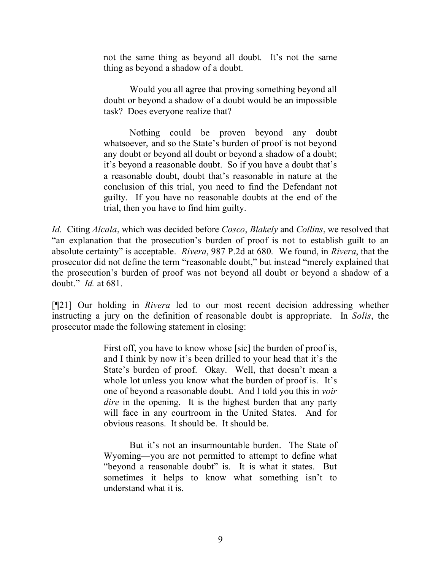not the same thing as beyond all doubt. It's not the same thing as beyond a shadow of a doubt.

Would you all agree that proving something beyond all doubt or beyond a shadow of a doubt would be an impossible task? Does everyone realize that?

Nothing could be proven beyond any doubt whatsoever, and so the State's burden of proof is not beyond any doubt or beyond all doubt or beyond a shadow of a doubt; it's beyond a reasonable doubt. So if you have a doubt that's a reasonable doubt, doubt that's reasonable in nature at the conclusion of this trial, you need to find the Defendant not guilty. If you have no reasonable doubts at the end of the trial, then you have to find him guilty.

*Id.* Citing *Alcala*, which was decided before *Cosco*, *Blakely* and *Collins*, we resolved that "an explanation that the prosecution's burden of proof is not to establish guilt to an absolute certainty" is acceptable. *Rivera*, 987 P.2d at 680. We found, in *Rivera*, that the prosecutor did not define the term "reasonable doubt," but instead "merely explained that the prosecution's burden of proof was not beyond all doubt or beyond a shadow of a doubt." *Id.* at 681.

[¶21] Our holding in *Rivera* led to our most recent decision addressing whether instructing a jury on the definition of reasonable doubt is appropriate. In *Solis*, the prosecutor made the following statement in closing:

> First off, you have to know whose [sic] the burden of proof is, and I think by now it's been drilled to your head that it's the State's burden of proof. Okay. Well, that doesn't mean a whole lot unless you know what the burden of proof is. It's one of beyond a reasonable doubt. And I told you this in *voir dire* in the opening. It is the highest burden that any party will face in any courtroom in the United States. And for obvious reasons. It should be. It should be.

> But it's not an insurmountable burden. The State of Wyoming—you are not permitted to attempt to define what "beyond a reasonable doubt" is. It is what it states. But sometimes it helps to know what something isn't to understand what it is.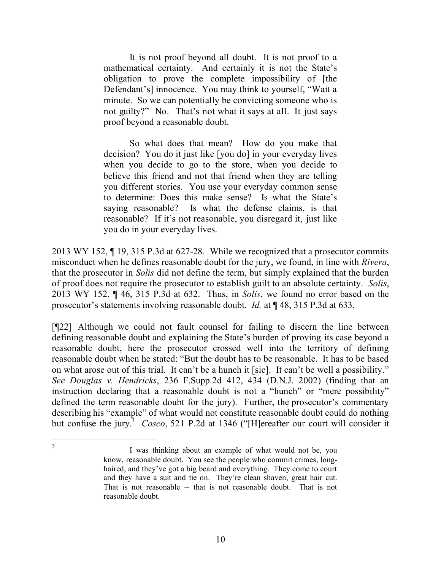It is not proof beyond all doubt. It is not proof to a mathematical certainty. And certainly it is not the State's obligation to prove the complete impossibility of [the Defendant's] innocence. You may think to yourself, "Wait a minute. So we can potentially be convicting someone who is not guilty?" No. That's not what it says at all. It just says proof beyond a reasonable doubt.

So what does that mean? How do you make that decision? You do it just like [you do] in your everyday lives when you decide to go to the store, when you decide to believe this friend and not that friend when they are telling you different stories. You use your everyday common sense to determine: Does this make sense? Is what the State's saying reasonable? Is what the defense claims, is that reasonable? If it's not reasonable, you disregard it, just like you do in your everyday lives.

2013 WY 152, ¶ 19, 315 P.3d at 627-28. While we recognized that a prosecutor commits misconduct when he defines reasonable doubt for the jury, we found, in line with *Rivera*, that the prosecutor in *Solis* did not define the term, but simply explained that the burden of proof does not require the prosecutor to establish guilt to an absolute certainty. *Solis*, 2013 WY 152, ¶ 46, 315 P.3d at 632. Thus, in *Solis*, we found no error based on the prosecutor's statements involving reasonable doubt. *Id.* at ¶ 48, 315 P.3d at 633.

[¶22] Although we could not fault counsel for failing to discern the line between defining reasonable doubt and explaining the State's burden of proving its case beyond a reasonable doubt, here the prosecutor crossed well into the territory of defining reasonable doubt when he stated: "But the doubt has to be reasonable. It has to be based on what arose out of this trial. It can't be a hunch it [sic]. It can't be well a possibility." *See Douglas v. Hendricks*, 236 F.Supp.2d 412, 434 (D.N.J. 2002) (finding that an instruction declaring that a reasonable doubt is not a "hunch" or "mere possibility" defined the term reasonable doubt for the jury). Further, the prosecutor's commentary describing his "example" of what would not constitute reasonable doubt could do nothing but confuse the jury.<sup>3</sup> *Cosco*, 521 P.2d at 1346 ("[H]ereafter our court will consider it

 3

I was thinking about an example of what would not be, you know, reasonable doubt. You see the people who commit crimes, longhaired, and they've got a big beard and everything. They come to court and they have a suit and tie on. They're clean shaven, great hair cut. That is not reasonable -- that is not reasonable doubt. That is not reasonable doubt.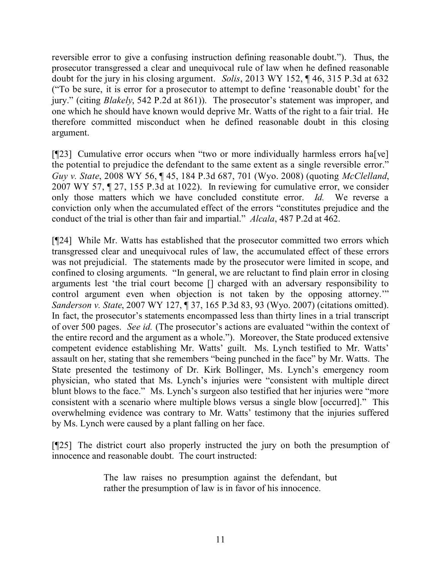reversible error to give a confusing instruction defining reasonable doubt."). Thus, the prosecutor transgressed a clear and unequivocal rule of law when he defined reasonable doubt for the jury in his closing argument. *Solis*, 2013 WY 152, ¶ 46, 315 P.3d at 632 ("To be sure, it is error for a prosecutor to attempt to define 'reasonable doubt' for the jury." (citing *Blakely*, 542 P.2d at 861)). The prosecutor's statement was improper, and one which he should have known would deprive Mr. Watts of the right to a fair trial. He therefore committed misconduct when he defined reasonable doubt in this closing argument.

[ $[23]$ ] Cumulative error occurs when "two or more individually harmless errors ha<sup>[</sup>ve] the potential to prejudice the defendant to the same extent as a single reversible error." *Guy v. State*, 2008 WY 56, ¶ 45, 184 P.3d 687, 701 (Wyo. 2008) (quoting *McClelland*, 2007 WY 57, ¶ 27, 155 P.3d at 1022). In reviewing for cumulative error, we consider only those matters which we have concluded constitute error. *Id.* We reverse a conviction only when the accumulated effect of the errors "constitutes prejudice and the conduct of the trial is other than fair and impartial." *Alcala*, 487 P.2d at 462.

[¶24] While Mr. Watts has established that the prosecutor committed two errors which transgressed clear and unequivocal rules of law, the accumulated effect of these errors was not prejudicial. The statements made by the prosecutor were limited in scope, and confined to closing arguments. "In general, we are reluctant to find plain error in closing arguments lest 'the trial court become [] charged with an adversary responsibility to control argument even when objection is not taken by the opposing attorney.'" *Sanderson v. State*, 2007 WY 127, ¶ 37, 165 P.3d 83, 93 (Wyo. 2007) (citations omitted). In fact, the prosecutor's statements encompassed less than thirty lines in a trial transcript of over 500 pages. *See id.* (The prosecutor's actions are evaluated "within the context of the entire record and the argument as a whole."). Moreover, the State produced extensive competent evidence establishing Mr. Watts' guilt. Ms. Lynch testified to Mr. Watts' assault on her, stating that she remembers "being punched in the face" by Mr. Watts. The State presented the testimony of Dr. Kirk Bollinger, Ms. Lynch's emergency room physician, who stated that Ms. Lynch's injuries were "consistent with multiple direct blunt blows to the face." Ms. Lynch's surgeon also testified that her injuries were "more consistent with a scenario where multiple blows versus a single blow [occurred]." This overwhelming evidence was contrary to Mr. Watts' testimony that the injuries suffered by Ms. Lynch were caused by a plant falling on her face.

[¶25] The district court also properly instructed the jury on both the presumption of innocence and reasonable doubt. The court instructed:

> The law raises no presumption against the defendant, but rather the presumption of law is in favor of his innocence.